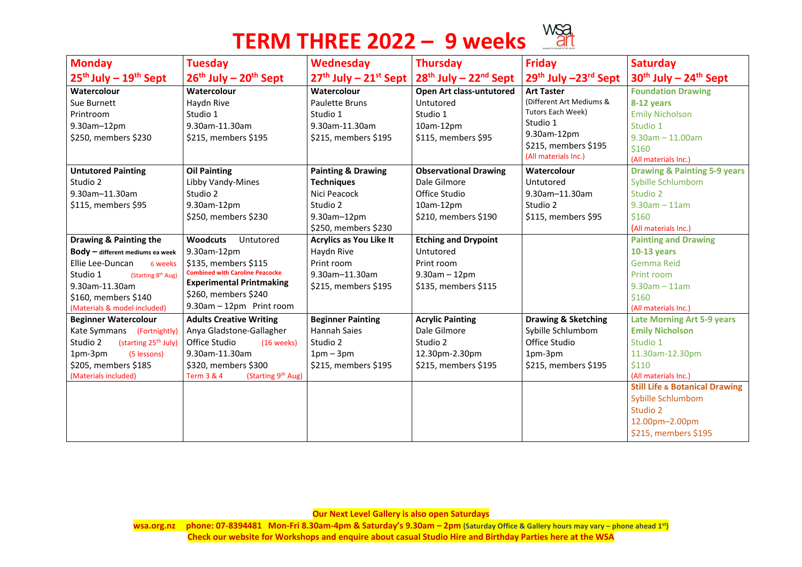## **TERM THREE 2022 – 9 weeks**



**Our Next Level Gallery is also open Saturdays**

**wsa.org.nz phone: 07-8394481 Mon-Fri 8.30am-4pm & Saturday's 9.30am – 2pm (Saturday Office & Gallery hours may vary – phone ahead 1st) Check our website for Workshops and enquire about casual Studio Hire and Birthday Parties here at the WSA**



| <b>Monday</b>                                | <b>Tuesday</b>                                          | Wednesday                      | <b>Thursday</b>                 | <b>Friday</b>                  | <b>Saturday</b>                           |
|----------------------------------------------|---------------------------------------------------------|--------------------------------|---------------------------------|--------------------------------|-------------------------------------------|
| $25th$ July $-19th$ Sept                     | $26th$ July – $20th$ Sept                               | $27th$ July – $21st$ Sept      | $28th$ July – $22nd$ Sept       | $29th$ July $-23rd$ Sept       | $30th$ July – 24 <sup>th</sup> Sept       |
| Watercolour                                  | Watercolour                                             | Watercolour                    | <b>Open Art class-untutored</b> | <b>Art Taster</b>              | <b>Foundation Drawing</b>                 |
| Sue Burnett                                  | Haydn Rive                                              | <b>Paulette Bruns</b>          | Untutored                       | (Different Art Mediums &       | 8-12 years                                |
| Printroom                                    | Studio 1                                                | Studio 1                       | Studio 1                        | Tutors Each Week)              | <b>Emily Nicholson</b>                    |
| 9.30am-12pm                                  | 9.30am-11.30am                                          | 9.30am-11.30am                 | $10am-12pm$                     | Studio 1                       | Studio 1                                  |
| \$250, members \$230                         | \$215, members \$195                                    | \$215, members \$195           | \$115, members \$95             | 9.30am-12pm                    | $9.30$ am $-11.00$ am                     |
|                                              |                                                         |                                |                                 | \$215, members \$195           | \$160                                     |
|                                              |                                                         |                                |                                 | (All materials Inc.)           | (All materials Inc.)                      |
| <b>Untutored Painting</b>                    | <b>Oil Painting</b>                                     | <b>Painting &amp; Drawing</b>  | <b>Observational Drawing</b>    | Watercolour                    | <b>Drawing &amp; Painting 5-9 years</b>   |
| Studio 2                                     | Libby Vandy-Mines                                       | <b>Techniques</b>              | Dale Gilmore                    | Untutored                      | <b>Sybille Schlumbom</b>                  |
| 9.30am-11.30am                               | Studio 2                                                | Nici Peacock                   | Office Studio                   | 9.30am-11.30am                 | Studio 2                                  |
| \$115, members \$95                          | 9.30am-12pm                                             | Studio 2                       | 10am-12pm                       | Studio 2                       | $9.30$ am $-11$ am                        |
|                                              | \$250, members \$230                                    | 9.30am-12pm                    | \$210, members \$190            | \$115, members \$95            | \$160                                     |
|                                              |                                                         | \$250, members \$230           |                                 |                                | (All materials Inc.)                      |
| Drawing & Painting the                       | <b>Woodcuts</b><br>Untutored                            | <b>Acrylics as You Like It</b> | <b>Etching and Drypoint</b>     |                                | <b>Painting and Drawing</b>               |
| $\text{Body}$ $-$ different mediums ea week  | 9.30am-12pm                                             | Haydn Rive                     | Untutored                       |                                | <b>10-13 years</b>                        |
| Ellie Lee-Duncan<br>6 weeks                  | \$135, members \$115                                    | Print room                     | Print room                      |                                | <b>Gemma Reid</b>                         |
| Studio 1<br>(Starting 8 <sup>th</sup> Aug)   | <b>Combined with Caroline Peacocke</b>                  | 9.30am-11.30am                 | $9.30$ am – 12pm                |                                | Print room                                |
| 9.30am-11.30am                               | <b>Experimental Printmaking</b>                         | \$215, members \$195           | \$135, members \$115            |                                | $9.30$ am $-11$ am                        |
| \$160, members \$140                         | \$260, members \$240                                    |                                |                                 |                                | \$160                                     |
| (Materials & model included)                 | $9.30$ am $-12$ pm Print room                           |                                |                                 |                                | (All materials Inc.)                      |
| <b>Beginner Watercolour</b>                  | <b>Adults Creative Writing</b>                          | <b>Beginner Painting</b>       | <b>Acrylic Painting</b>         | <b>Drawing &amp; Sketching</b> | <b>Late Morning Art 5-9 years</b>         |
| Kate Symmans<br>(Fortnightly)                | Anya Gladstone-Gallagher                                | <b>Hannah Saies</b>            | Dale Gilmore                    | Sybille Schlumbom              | <b>Emily Nicholson</b>                    |
| Studio 2<br>(starting 25 <sup>th</sup> July) | <b>Office Studio</b><br>(16 weeks)                      | Studio 2                       | Studio 2                        | Office Studio                  | Studio 1                                  |
| 1pm-3pm<br>(5 lessons)                       | 9.30am-11.30am                                          | $1pm-3pm$                      | 12.30pm-2.30pm                  | 1pm-3pm                        | 11.30am-12.30pm                           |
| \$205, members \$185                         | \$320, members \$300                                    | \$215, members \$195           | \$215, members \$195            | \$215, members \$195           | \$110                                     |
| (Materials included)                         | (Starting 9 <sup>th</sup> Aug)<br><b>Term 3 &amp; 4</b> |                                |                                 |                                | (All materials Inc.)                      |
|                                              |                                                         |                                |                                 |                                | <b>Still Life &amp; Botanical Drawing</b> |
|                                              |                                                         |                                |                                 |                                | <b>Sybille Schlumbom</b>                  |
|                                              |                                                         |                                |                                 |                                | <b>Studio 2</b>                           |
|                                              |                                                         |                                |                                 |                                | 12.00pm-2.00pm                            |
|                                              |                                                         |                                |                                 |                                | \$215, members \$195                      |